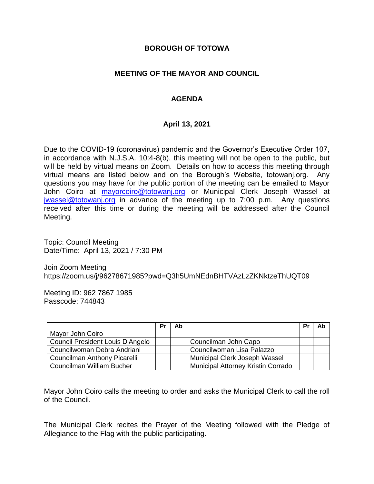#### **BOROUGH OF TOTOWA**

## **MEETING OF THE MAYOR AND COUNCIL**

# **AGENDA**

## **April 13, 2021**

Due to the COVID-19 (coronavirus) pandemic and the Governor's Executive Order 107, in accordance with N.J.S.A. 10:4-8(b), this meeting will not be open to the public, but will be held by virtual means on Zoom. Details on how to access this meeting through virtual means are listed below and on the Borough's Website, totowanj.org. Any questions you may have for the public portion of the meeting can be emailed to Mayor John Coiro at [mayorcoiro@totowanj.org](mailto:mayorcoiro@totowanj.org) or Municipal Clerk Joseph Wassel at [jwassel@totowanj.org](mailto:jwassel@totowanj.org) in advance of the meeting up to 7:00 p.m. Any questions received after this time or during the meeting will be addressed after the Council Meeting.

Topic: Council Meeting Date/Time: April 13, 2021 / 7:30 PM

Join Zoom Meeting https://zoom.us/j/96278671985?pwd=Q3h5UmNEdnBHTVAzLzZKNktzeThUQT09

Meeting ID: 962 7867 1985 Passcode: 744843

|                                     | Pr | Ab |                                           | Pr | Ab |
|-------------------------------------|----|----|-------------------------------------------|----|----|
| Mayor John Coiro                    |    |    |                                           |    |    |
| Council President Louis D'Angelo    |    |    | Councilman John Capo                      |    |    |
| Councilwoman Debra Andriani         |    |    | Councilwoman Lisa Palazzo                 |    |    |
| <b>Councilman Anthony Picarelli</b> |    |    | Municipal Clerk Joseph Wassel             |    |    |
| Councilman William Bucher           |    |    | <b>Municipal Attorney Kristin Corrado</b> |    |    |

Mayor John Coiro calls the meeting to order and asks the Municipal Clerk to call the roll of the Council.

The Municipal Clerk recites the Prayer of the Meeting followed with the Pledge of Allegiance to the Flag with the public participating.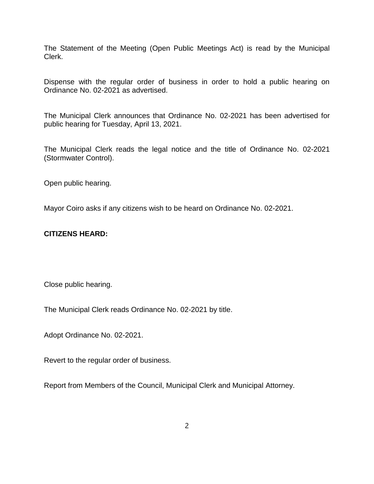The Statement of the Meeting (Open Public Meetings Act) is read by the Municipal Clerk.

Dispense with the regular order of business in order to hold a public hearing on Ordinance No. 02-2021 as advertised.

The Municipal Clerk announces that Ordinance No. 02-2021 has been advertised for public hearing for Tuesday, April 13, 2021.

The Municipal Clerk reads the legal notice and the title of Ordinance No. 02-2021 (Stormwater Control).

Open public hearing.

Mayor Coiro asks if any citizens wish to be heard on Ordinance No. 02-2021.

#### **CITIZENS HEARD:**

Close public hearing.

The Municipal Clerk reads Ordinance No. 02-2021 by title.

Adopt Ordinance No. 02-2021.

Revert to the regular order of business.

Report from Members of the Council, Municipal Clerk and Municipal Attorney.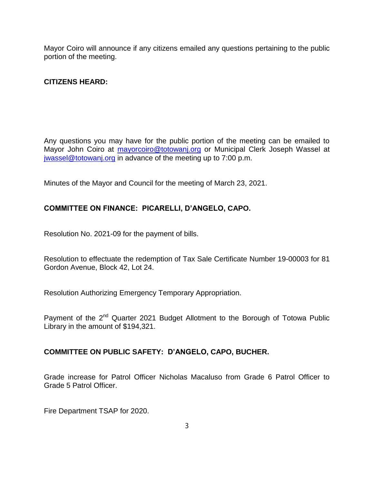Mayor Coiro will announce if any citizens emailed any questions pertaining to the public portion of the meeting.

## **CITIZENS HEARD:**

Any questions you may have for the public portion of the meeting can be emailed to Mayor John Coiro at [mayorcoiro@totowanj.org](mailto:mayorcoiro@totowanj.org) or Municipal Clerk Joseph Wassel at [jwassel@totowanj.org](mailto:jwassel@totowanj.org) in advance of the meeting up to 7:00 p.m.

Minutes of the Mayor and Council for the meeting of March 23, 2021.

## **COMMITTEE ON FINANCE: PICARELLI, D'ANGELO, CAPO.**

Resolution No. 2021-09 for the payment of bills.

Resolution to effectuate the redemption of Tax Sale Certificate Number 19-00003 for 81 Gordon Avenue, Block 42, Lot 24.

Resolution Authorizing Emergency Temporary Appropriation.

Payment of the 2<sup>nd</sup> Quarter 2021 Budget Allotment to the Borough of Totowa Public Library in the amount of \$194,321.

#### **COMMITTEE ON PUBLIC SAFETY: D'ANGELO, CAPO, BUCHER.**

Grade increase for Patrol Officer Nicholas Macaluso from Grade 6 Patrol Officer to Grade 5 Patrol Officer.

Fire Department TSAP for 2020.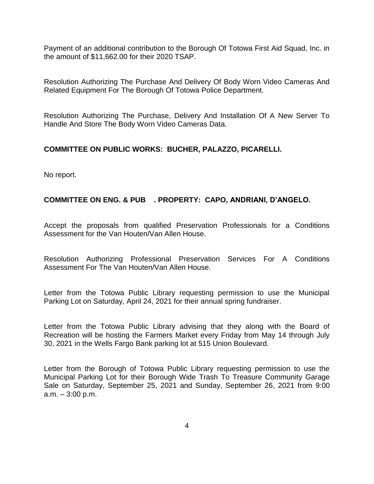Payment of an additional contribution to the Borough Of Totowa First Aid Squad, Inc. in the amount of \$11,662.00 for their 2020 TSAP.

Resolution Authorizing The Purchase And Delivery Of Body Worn Video Cameras And Related Equipment For The Borough Of Totowa Police Department.

Resolution Authorizing The Purchase, Delivery And Installation Of A New Server To Handle And Store The Body Worn Video Cameras Data.

#### **COMMITTEE ON PUBLIC WORKS: BUCHER, PALAZZO, PICARELLI.**

No report.

## **COMMITTEE ON ENG. & PUB . PROPERTY: CAPO, ANDRIANI, D'ANGELO.**

Accept the proposals from qualified Preservation Professionals for a Conditions Assessment for the Van Houten/Van Allen House.

Resolution Authorizing Professional Preservation Services For A Conditions Assessment For The Van Houten/Van Allen House.

Letter from the Totowa Public Library requesting permission to use the Municipal Parking Lot on Saturday, April 24, 2021 for their annual spring fundraiser.

Letter from the Totowa Public Library advising that they along with the Board of Recreation will be hosting the Farmers Market every Friday from May 14 through July 30, 2021 in the Wells Fargo Bank parking lot at 515 Union Boulevard.

Letter from the Borough of Totowa Public Library requesting permission to use the Municipal Parking Lot for their Borough Wide Trash To Treasure Community Garage Sale on Saturday, September 25, 2021 and Sunday, September 26, 2021 from 9:00 a.m. – 3:00 p.m.